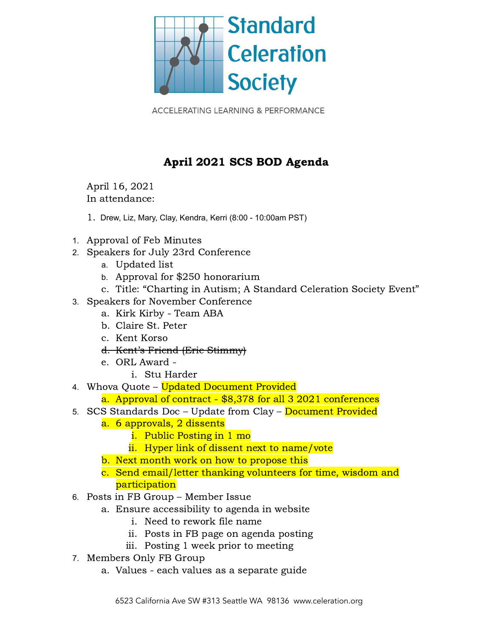

**ACCELERATING LEARNING & PERFORMANCE** 

## April 2021 SCS BOD Agenda

April 16, 2021 In attendance:

- 1. Drew, Liz, Mary, Clay, Kendra, Kerri (8:00 10:00am PST)
- 1. Approval of Feb Minutes
- 2. Speakers for July 23rd Conference
	- a. Updated list
	- b. Approval for \$250 honorarium
	- c. Title: "Charting in Autism; A Standard Celeration Society Event"
- 3. Speakers for November Conference
	- a. Kirk Kirby Team ABA
	- b. Claire St. Peter
	- c. Kent Korso
	- d. Kent's Friend (Eric Stimmy)
	- e. ORL Award
		- i. Stu Harder
- 4. Whova Quote Updated Document Provided
	- a. Approval of contract \$8,378 for all 3 2021 conferences
- 5. SCS Standards Doc Update from Clay Document Provided
	- a. 6 approvals, 2 dissents
		- i. Public Posting in 1 mo
		- ii. Hyper link of dissent next to name/vote
	- b. Next month work on how to propose this
	- c. Send email/letter thanking volunteers for time, wisdom and participation
- 6. Posts in FB Group Member Issue
	- a. Ensure accessibility to agenda in website
		- i. Need to rework file name
		- ii. Posts in FB page on agenda posting
		- iii. Posting 1 week prior to meeting
- 7. Members Only FB Group
	- a. Values each values as a separate guide